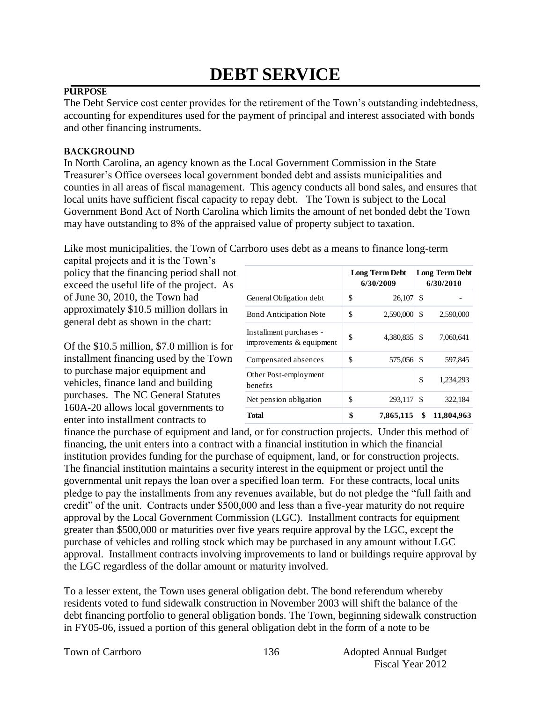# **DEBT SERVICE**

# **PURPOSE**

The Debt Service cost center provides for the retirement of the Town's outstanding indebtedness, accounting for expenditures used for the payment of principal and interest associated with bonds and other financing instruments.

# **BACKGROUND**

In North Carolina, an agency known as the Local Government Commission in the State Treasurer's Office oversees local government bonded debt and assists municipalities and counties in all areas of fiscal management. This agency conducts all bond sales, and ensures that local units have sufficient fiscal capacity to repay debt. The Town is subject to the Local Government Bond Act of North Carolina which limits the amount of net bonded debt the Town may have outstanding to 8% of the appraised value of property subject to taxation.

Like most municipalities, the Town of Carrboro uses debt as a means to finance long-term

capital projects and it is the Town's policy that the financing period shall not exceed the useful life of the project. As of June 30, 2010, the Town had approximately \$10.5 million dollars in general debt as shown in the chart:

Of the \$10.5 million, \$7.0 million is for installment financing used by the Town to purchase major equipment and vehicles, finance land and building purchases. The NC General Statutes 160A-20 allows local governments to enter into installment contracts to

|                                                     | <b>Long Term Debt</b><br>6/30/2009 |    | <b>Long Term Debt</b><br>6/30/2010 |
|-----------------------------------------------------|------------------------------------|----|------------------------------------|
| General Obligation debt                             | \$<br>$26.107$ \$                  |    |                                    |
| <b>Bond Anticipation Note</b>                       | \$<br>2,590,000                    | \$ | 2,590,000                          |
| Installment purchases -<br>improvements & equipment | \$<br>4.380.835                    | \$ | 7,060,641                          |
| Compensated absences                                | \$<br>575,056                      | S  | 597.845                            |
| Other Post-employment<br>benefits                   |                                    | \$ | 1.234.293                          |
| Net pension obligation                              | \$<br>293,117                      | -S | 322,184                            |
| Total                                               | \$<br>7,865,115                    | \$ | 11,804,963                         |

finance the purchase of equipment and land, or for construction projects. Under this method of financing, the unit enters into a contract with a financial institution in which the financial institution provides funding for the purchase of equipment, land, or for construction projects. The financial institution maintains a security interest in the equipment or project until the governmental unit repays the loan over a specified loan term. For these contracts, local units pledge to pay the installments from any revenues available, but do not pledge the "full faith and credit" of the unit. Contracts under \$500,000 and less than a five-year maturity do not require approval by the Local Government Commission (LGC). Installment contracts for equipment greater than \$500,000 or maturities over five years require approval by the LGC, except the purchase of vehicles and rolling stock which may be purchased in any amount without LGC approval. Installment contracts involving improvements to land or buildings require approval by the LGC regardless of the dollar amount or maturity involved.

To a lesser extent, the Town uses general obligation debt. The bond referendum whereby residents voted to fund sidewalk construction in November 2003 will shift the balance of the debt financing portfolio to general obligation bonds. The Town, beginning sidewalk construction in FY05-06, issued a portion of this general obligation debt in the form of a note to be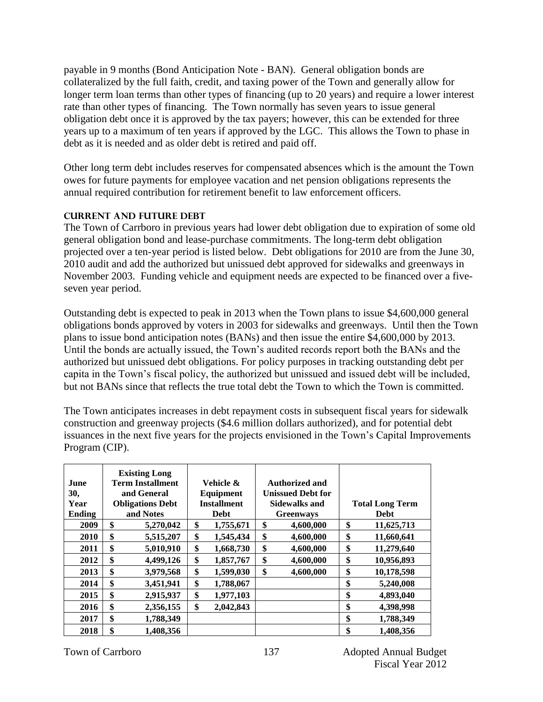payable in 9 months (Bond Anticipation Note - BAN). General obligation bonds are collateralized by the full faith, credit, and taxing power of the Town and generally allow for longer term loan terms than other types of financing (up to 20 years) and require a lower interest rate than other types of financing. The Town normally has seven years to issue general obligation debt once it is approved by the tax payers; however, this can be extended for three years up to a maximum of ten years if approved by the LGC. This allows the Town to phase in debt as it is needed and as older debt is retired and paid off.

Other long term debt includes reserves for compensated absences which is the amount the Town owes for future payments for employee vacation and net pension obligations represents the annual required contribution for retirement benefit to law enforcement officers.

# **Current AND FUTURE Debt**

The Town of Carrboro in previous years had lower debt obligation due to expiration of some old general obligation bond and lease-purchase commitments. The long-term debt obligation projected over a ten-year period is listed below. Debt obligations for 2010 are from the June 30, 2010 audit and add the authorized but unissued debt approved for sidewalks and greenways in November 2003. Funding vehicle and equipment needs are expected to be financed over a fiveseven year period.

Outstanding debt is expected to peak in 2013 when the Town plans to issue \$4,600,000 general obligations bonds approved by voters in 2003 for sidewalks and greenways. Until then the Town plans to issue bond anticipation notes (BANs) and then issue the entire \$4,600,000 by 2013. Until the bonds are actually issued, the Town's audited records report both the BANs and the authorized but unissued debt obligations. For policy purposes in tracking outstanding debt per capita in the Town's fiscal policy, the authorized but unissued and issued debt will be included, but not BANs since that reflects the true total debt the Town to which the Town is committed.

The Town anticipates increases in debt repayment costs in subsequent fiscal years for sidewalk construction and greenway projects (\$4.6 million dollars authorized), and for potential debt issuances in the next five years for the projects envisioned in the Town's Capital Improvements Program (CIP).

|             | <b>Existing Long</b>    |                    |                          |                        |
|-------------|-------------------------|--------------------|--------------------------|------------------------|
| <b>June</b> | <b>Term Installment</b> | Vehicle &          | Authorized and           |                        |
| 30,         | and General             | Equipment          | <b>Unissued Debt for</b> |                        |
| Year        | <b>Obligations Debt</b> | <b>Installment</b> | <b>Sidewalks and</b>     | <b>Total Long Term</b> |
| Ending      | and Notes               | <b>Debt</b>        | <b>Greenways</b>         | <b>Debt</b>            |
| 2009        | \$<br>5,270,042         | \$<br>1,755,671    | \$<br>4,600,000          | \$<br>11,625,713       |
| 2010        | \$<br>5,515,207         | \$<br>1,545,434    | \$<br>4,600,000          | \$<br>11,660,641       |
| 2011        | \$<br>5,010,910         | \$<br>1,668,730    | \$<br>4,600,000          | \$<br>11,279,640       |
| 2012        | \$<br>4,499,126         | \$<br>1,857,767    | \$<br>4,600,000          | \$<br>10,956,893       |
| 2013        | \$<br>3,979,568         | \$<br>1,599,030    | \$<br>4,600,000          | \$<br>10,178,598       |
| 2014        | \$<br>3,451,941         | \$<br>1,788,067    |                          | \$<br>5,240,008        |
| 2015        | \$<br>2,915,937         | \$<br>1,977,103    |                          | \$<br>4,893,040        |
| 2016        | \$<br>2,356,155         | \$<br>2,042,843    |                          | \$<br>4,398,998        |
| 2017        | \$<br>1,788,349         |                    |                          | \$<br>1,788,349        |
| 2018        | \$<br>1,408,356         |                    |                          | \$<br>1,408,356        |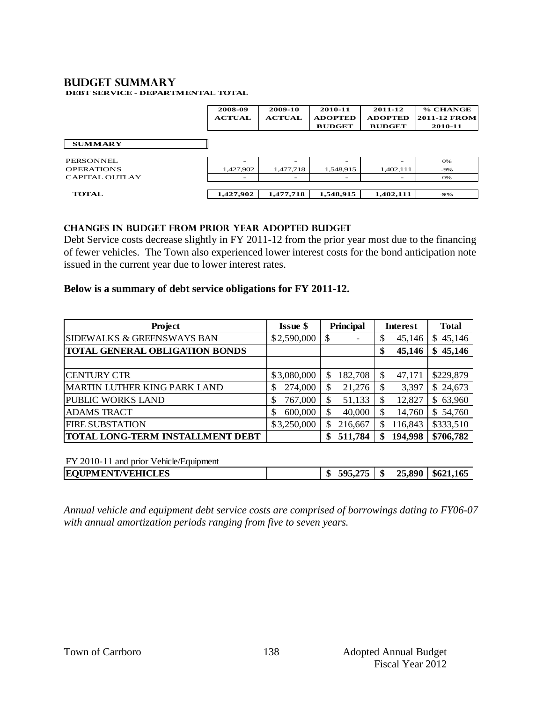#### **BUDGET summary DEBT SERVICE - DEPARTMENTAL TOTAL**

|                       | 2008-09<br><b>ACTUAL</b> | 2009-10<br><b>ACTUAL</b> | 2010-11<br><b>ADOPTED</b><br><b>BUDGET</b> | 2011-12<br><b>ADOPTED</b><br><b>BUDGET</b> | % CHANGE<br><b>2011-12 FROM</b><br>2010-11 |
|-----------------------|--------------------------|--------------------------|--------------------------------------------|--------------------------------------------|--------------------------------------------|
| <b>SUMMARY</b>        |                          |                          |                                            |                                            |                                            |
| PERSONNEL.            | -                        |                          |                                            |                                            | 0%                                         |
| <b>OPERATIONS</b>     | 1,427,902                | 1,477,718                | 1,548,915                                  | 1,402,111                                  | $-9%$                                      |
| <b>CAPITAL OUTLAY</b> |                          |                          |                                            |                                            | O%                                         |
| <b>TOTAL</b>          | 1,427,902                | 1,477,718                | 1,548,915                                  | 1,402,111                                  | $-9%$                                      |

## **changes in budget from prior year adopted budget**

Debt Service costs decrease slightly in FY 2011-12 from the prior year most due to the financing of fewer vehicles. The Town also experienced lower interest costs for the bond anticipation note issued in the current year due to lower interest rates.

## **Below is a summary of debt service obligations for FY 2011-12.**

| Project                                 | <b>Issue \$</b> | <b>Principal</b> | Interest      | <b>Total</b>  |
|-----------------------------------------|-----------------|------------------|---------------|---------------|
| <b>SIDEWALKS &amp; GREENSWAYS BAN</b>   | \$2,590,000     | \$               | 45,146<br>\$  | 45,146<br>S   |
| <b>TOTAL GENERAL OBLIGATION BONDS</b>   |                 |                  | 45,146<br>\$  | 45,146<br>\$  |
|                                         |                 |                  |               |               |
| <b>CENTURY CTR</b>                      | \$3,080,000     | 182,708<br>\$    | 47,171<br>\$  | \$229,879     |
| <b>MARTIN LUTHER KING PARK LAND</b>     | 274,000<br>\$   | \$<br>21,276     | \$<br>3,397   | \$24,673      |
| PUBLIC WORKS LAND                       | 767,000<br>\$   | 51,133<br>\$     | 12,827<br>\$  | 63,960<br>\$. |
| <b>ADAMS TRACT</b>                      | 600,000<br>\$   | 40,000<br>\$     | \$<br>14,760  | 54,760<br>S.  |
| <b>FIRE SUBSTATION</b>                  | \$3,250,000     | 216,667<br>S     | 116,843<br>S  | \$333,510     |
| <b>TOTAL LONG-TERM INSTALLMENT DEBT</b> |                 | 511,784<br>\$    | 194,998<br>\$ | \$706,782     |

FY 2010-11 and prior Vehicle/Equipment

|  | <b>EQUPMENT/VEHICLES</b> |  | 4<br>w | ATF<br>505 | ₼<br>۰π | 25,890<br>__ | \$621,165 |
|--|--------------------------|--|--------|------------|---------|--------------|-----------|
|--|--------------------------|--|--------|------------|---------|--------------|-----------|

*Annual vehicle and equipment debt service costs are comprised of borrowings dating to FY06-07 with annual amortization periods ranging from five to seven years.*